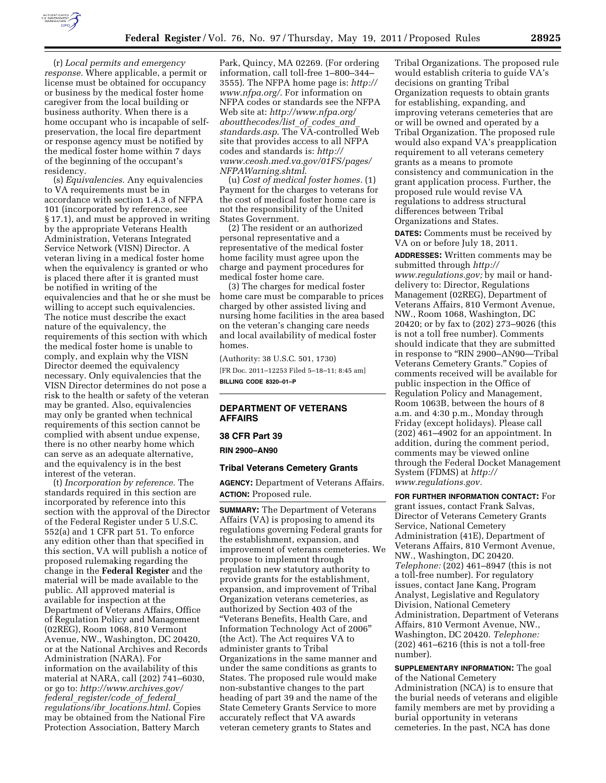

(r) *Local permits and emergency response.* Where applicable, a permit or license must be obtained for occupancy or business by the medical foster home caregiver from the local building or business authority. When there is a home occupant who is incapable of selfpreservation, the local fire department or response agency must be notified by the medical foster home within 7 days of the beginning of the occupant's residency.

(s) *Equivalencies.* Any equivalencies to VA requirements must be in accordance with section 1.4.3 of NFPA 101 (incorporated by reference, see § 17.1), and must be approved in writing by the appropriate Veterans Health Administration, Veterans Integrated Service Network (VISN) Director. A veteran living in a medical foster home when the equivalency is granted or who is placed there after it is granted must be notified in writing of the equivalencies and that he or she must be willing to accept such equivalencies. The notice must describe the exact nature of the equivalency, the requirements of this section with which the medical foster home is unable to comply, and explain why the VISN Director deemed the equivalency necessary. Only equivalencies that the VISN Director determines do not pose a risk to the health or safety of the veteran may be granted. Also, equivalencies may only be granted when technical requirements of this section cannot be complied with absent undue expense, there is no other nearby home which can serve as an adequate alternative, and the equivalency is in the best interest of the veteran.

(t) *Incorporation by reference.* The standards required in this section are incorporated by reference into this section with the approval of the Director of the Federal Register under 5 U.S.C. 552(a) and 1 CFR part 51. To enforce any edition other than that specified in this section, VA will publish a notice of proposed rulemaking regarding the change in the **Federal Register** and the material will be made available to the public. All approved material is available for inspection at the Department of Veterans Affairs, Office of Regulation Policy and Management (02REG), Room 1068, 810 Vermont Avenue, NW., Washington, DC 20420, or at the National Archives and Records Administration (NARA). For information on the availability of this material at NARA, call (202) 741–6030, or go to: *[http://www.archives.gov/](http://www.archives.gov/federal_register/code_of_federal_regulations/ibr_locations.html) federal*\_*[register/code](http://www.archives.gov/federal_register/code_of_federal_regulations/ibr_locations.html)*\_*of*\_*federal*\_ *[regulations/ibr](http://www.archives.gov/federal_register/code_of_federal_regulations/ibr_locations.html)*\_*locations.html*. Copies may be obtained from the National Fire Protection Association, Battery March

Park, Quincy, MA 02269. (For ordering information, call toll-free 1–800–344– 3555). The NFPA home page is: *[http://](http://www.nfpa.org/) [www.nfpa.org/](http://www.nfpa.org/)*. For information on NFPA codes or standards see the NFPA Web site at: *[http://www.nfpa.org/](http://www.nfpa.org/aboutthecodes/list_of_codes_and_standards.asp) [aboutthecodes/list](http://www.nfpa.org/aboutthecodes/list_of_codes_and_standards.asp)*\_*of*\_*codes*\_*and*\_ *[standards.asp](http://www.nfpa.org/aboutthecodes/list_of_codes_and_standards.asp)*. The VA-controlled Web site that provides access to all NFPA codes and standards is: *[http://](http://vaww.ceosh.med.va.gov/01FS/pages/NFPAWarning.shtml)  [vaww.ceosh.med.va.gov/01FS/pages/](http://vaww.ceosh.med.va.gov/01FS/pages/NFPAWarning.shtml) [NFPAWarning.shtml](http://vaww.ceosh.med.va.gov/01FS/pages/NFPAWarning.shtml)*.

(u) *Cost of medical foster homes.* (1) Payment for the charges to veterans for the cost of medical foster home care is not the responsibility of the United States Government.

(2) The resident or an authorized personal representative and a representative of the medical foster home facility must agree upon the charge and payment procedures for medical foster home care.

(3) The charges for medical foster home care must be comparable to prices charged by other assisted living and nursing home facilities in the area based on the veteran's changing care needs and local availability of medical foster homes.

(Authority: 38 U.S.C. 501, 1730) [FR Doc. 2011–12253 Filed 5–18–11; 8:45 am] **BILLING CODE 8320–01–P** 

# **DEPARTMENT OF VETERANS AFFAIRS**

**38 CFR Part 39** 

**RIN 2900–AN90** 

## **Tribal Veterans Cemetery Grants**

**AGENCY:** Department of Veterans Affairs. **ACTION:** Proposed rule.

**SUMMARY:** The Department of Veterans Affairs (VA) is proposing to amend its regulations governing Federal grants for the establishment, expansion, and improvement of veterans cemeteries. We propose to implement through regulation new statutory authority to provide grants for the establishment, expansion, and improvement of Tribal Organization veterans cemeteries, as authorized by Section 403 of the ''Veterans Benefits, Health Care, and Information Technology Act of 2006'' (the Act). The Act requires VA to administer grants to Tribal Organizations in the same manner and under the same conditions as grants to States. The proposed rule would make non-substantive changes to the part heading of part 39 and the name of the State Cemetery Grants Service to more accurately reflect that VA awards veteran cemetery grants to States and

Tribal Organizations. The proposed rule would establish criteria to guide VA's decisions on granting Tribal Organization requests to obtain grants for establishing, expanding, and improving veterans cemeteries that are or will be owned and operated by a Tribal Organization. The proposed rule would also expand VA's preapplication requirement to all veterans cemetery grants as a means to promote consistency and communication in the grant application process. Further, the proposed rule would revise VA regulations to address structural differences between Tribal Organizations and States.

**DATES:** Comments must be received by VA on or before July 18, 2011.

**ADDRESSES:** Written comments may be submitted through *[http://](http://www.regulations.gov) [www.regulations.gov;](http://www.regulations.gov)* by mail or handdelivery to: Director, Regulations Management (02REG), Department of Veterans Affairs, 810 Vermont Avenue, NW., Room 1068, Washington, DC 20420; or by fax to (202) 273–9026 (this is not a toll free number). Comments should indicate that they are submitted in response to ''RIN 2900–AN90—Tribal Veterans Cemetery Grants.'' Copies of comments received will be available for public inspection in the Office of Regulation Policy and Management, Room 1063B, between the hours of 8 a.m. and 4:30 p.m., Monday through Friday (except holidays). Please call (202) 461–4902 for an appointment. In addition, during the comment period, comments may be viewed online through the Federal Docket Management System (FDMS) at *[http://](http://www.regulations.gov) [www.regulations.gov.](http://www.regulations.gov)* 

**FOR FURTHER INFORMATION CONTACT:** For grant issues, contact Frank Salvas, Director of Veterans Cemetery Grants Service, National Cemetery Administration (41E), Department of Veterans Affairs, 810 Vermont Avenue, NW., Washington, DC 20420. *Telephone:* (202) 461–8947 (this is not a toll-free number). For regulatory issues, contact Jane Kang, Program Analyst, Legislative and Regulatory Division, National Cemetery Administration, Department of Veterans Affairs, 810 Vermont Avenue, NW., Washington, DC 20420. *Telephone:*  (202) 461–6216 (this is not a toll-free number).

**SUPPLEMENTARY INFORMATION:** The goal of the National Cemetery Administration (NCA) is to ensure that the burial needs of veterans and eligible family members are met by providing a burial opportunity in veterans cemeteries. In the past, NCA has done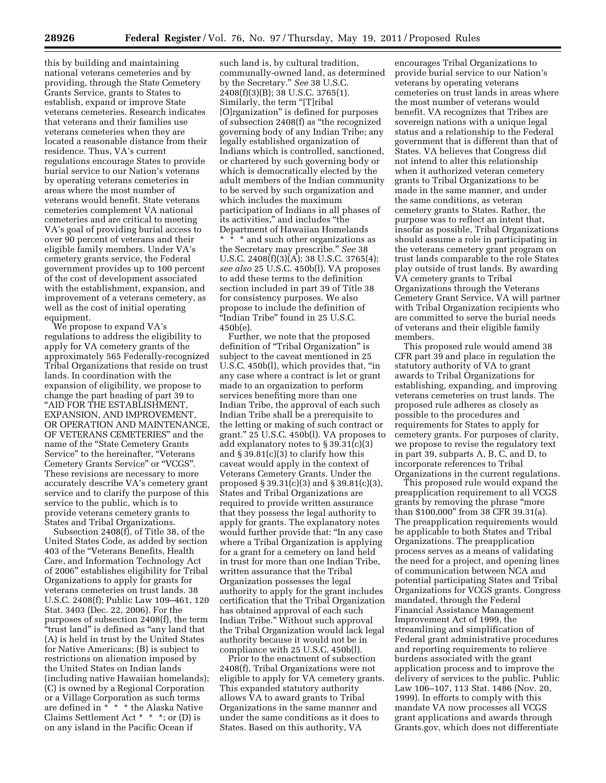this by building and maintaining national veterans cemeteries and by providing, through the State Cemetery Grants Service, grants to States to establish, expand or improve State veterans cemeteries. Research indicates that veterans and their families use veterans cemeteries when they are located a reasonable distance from their residence. Thus, VA's current regulations encourage States to provide burial service to our Nation's veterans by operating veterans cemeteries in areas where the most number of veterans would benefit. State veterans cemeteries complement VA national cemeteries and are critical to meeting VA's goal of providing burial access to over 90 percent of veterans and their eligible family members. Under VA's cemetery grants service, the Federal government provides up to 100 percent of the cost of development associated with the establishment, expansion, and improvement of a veterans cemetery, as well as the cost of initial operating equipment.

We propose to expand VA's regulations to address the eligibility to apply for VA cemetery grants of the approximately 565 Federally-recognized Tribal Organizations that reside on trust lands. In coordination with the expansion of eligibility, we propose to change the part heading of part 39 to ''AID FOR THE ESTABLISHMENT, EXPANSION, AND IMPROVEMENT, OR OPERATION AND MAINTENANCE, OF VETERANS CEMETERIES'' and the name of the "State Cemetery Grants Service" to the hereinafter, "Veterans Cemetery Grants Service'' or ''VCGS''. These revisions are necessary to more accurately describe VA's cemetery grant service and to clarify the purpose of this service to the public, which is to provide veterans cemetery grants to States and Tribal Organizations.

Subsection 2408(f), of Title 38, of the United States Code, as added by section 403 of the ''Veterans Benefits, Health Care, and Information Technology Act of 2006'' establishes eligibility for Tribal Organizations to apply for grants for veterans cemeteries on trust lands. 38 U.S.C. 2408(f); Public Law 109–461, 120 Stat. 3403 (Dec. 22, 2006). For the purposes of subsection 2408(f), the term "trust land" is defined as "any land that (A) is held in trust by the United States for Native Americans; (B) is subject to restrictions on alienation imposed by the United States on Indian lands (including native Hawaiian homelands); (C) is owned by a Regional Corporation or a Village Corporation as such terms are defined in \* \* \* the Alaska Native Claims Settlement Act \* \* \*; or (D) is on any island in the Pacific Ocean if

such land is, by cultural tradition, communally-owned land, as determined by the Secretary.'' *See* 38 U.S.C. 2408(f)(3)(B); 38 U.S.C. 3765(1). Similarly, the term "[T]ribal [O]rganization'' is defined for purposes of subsection 2408(f) as ''the recognized governing body of any Indian Tribe; any legally established organization of Indians which is controlled, sanctioned, or chartered by such governing body or which is democratically elected by the adult members of the Indian community to be served by such organization and which includes the maximum participation of Indians in all phases of its activities,'' and includes ''the Department of Hawaiian Homelands \* \* \* and such other organizations as the Secretary may prescribe.'' *See* 38 U.S.C. 2408(f)(3)(A); 38 U.S.C. 3765(4); *see also* 25 U.S.C. 450b(l). VA proposes to add these terms to the definition section included in part 39 of Title 38 for consistency purposes. We also propose to include the definition of ''Indian Tribe'' found in 25 U.S.C. 450b(e).

Further, we note that the proposed definition of "Tribal Organization" is subject to the caveat mentioned in 25 U.S.C. 450b(l), which provides that, ''in any case where a contract is let or grant made to an organization to perform services benefiting more than one Indian Tribe, the approval of each such Indian Tribe shall be a prerequisite to the letting or making of such contract or grant.'' 25 U.S.C. 450b(l). VA proposes to add explanatory notes to § 39.31(c)(3) and § 39.81(c)(3) to clarify how this caveat would apply in the context of Veterans Cemetery Grants. Under the proposed § 39.31(c)(3) and § 39.81(c)(3), States and Tribal Organizations are required to provide written assurance that they possess the legal authority to apply for grants. The explanatory notes would further provide that: ''In any case where a Tribal Organization is applying for a grant for a cemetery on land held in trust for more than one Indian Tribe, written assurance that the Tribal Organization possesses the legal authority to apply for the grant includes certification that the Tribal Organization has obtained approval of each such Indian Tribe.'' Without such approval the Tribal Organization would lack legal authority because it would not be in compliance with 25 U.S.C. 450b(l).

Prior to the enactment of subsection 2408(f), Tribal Organizations were not eligible to apply for VA cemetery grants. This expanded statutory authority allows VA to award grants to Tribal Organizations in the same manner and under the same conditions as it does to States. Based on this authority, VA

encourages Tribal Organizations to provide burial service to our Nation's veterans by operating veterans cemeteries on trust lands in areas where the most number of veterans would benefit. VA recognizes that Tribes are sovereign nations with a unique legal status and a relationship to the Federal government that is different than that of States. VA believes that Congress did not intend to alter this relationship when it authorized veteran cemetery grants to Tribal Organizations to be made in the same manner, and under the same conditions, as veteran cemetery grants to States. Rather, the purpose was to reflect an intent that, insofar as possible, Tribal Organizations should assume a role in participating in the veterans cemetery grant program on trust lands comparable to the role States play outside of trust lands. By awarding VA cemetery grants to Tribal Organizations through the Veterans Cemetery Grant Service, VA will partner with Tribal Organization recipients who are committed to serve the burial needs of veterans and their eligible family members.

This proposed rule would amend 38 CFR part 39 and place in regulation the statutory authority of VA to grant awards to Tribal Organizations for establishing, expanding, and improving veterans cemeteries on trust lands. The proposed rule adheres as closely as possible to the procedures and requirements for States to apply for cemetery grants. For purposes of clarity, we propose to revise the regulatory text in part 39, subparts A, B, C, and D, to incorporate references to Tribal Organizations in the current regulations.

This proposed rule would expand the preapplication requirement to all VCGS grants by removing the phrase ''more than \$100,000'' from 38 CFR 39.31(a). The preapplication requirements would be applicable to both States and Tribal Organizations. The preapplication process serves as a means of validating the need for a project, and opening lines of communication between NCA and potential participating States and Tribal Organizations for VCGS grants. Congress mandated, through the Federal Financial Assistance Management Improvement Act of 1999, the streamlining and simplification of Federal grant administrative procedures and reporting requirements to relieve burdens associated with the grant application process and to improve the delivery of services to the public. Public Law 106–107, 113 Stat. 1486 (Nov. 20, 1999). In efforts to comply with this mandate VA now processes all VCGS grant applications and awards through Grants.gov, which does not differentiate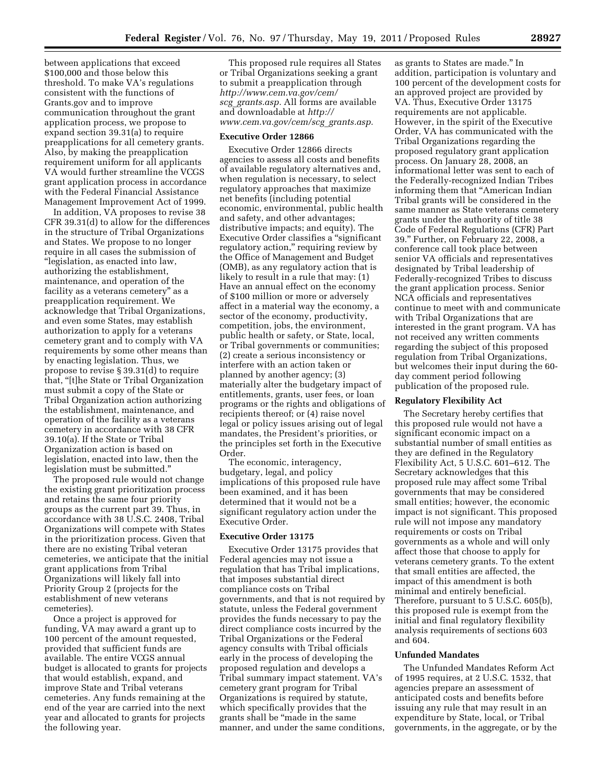between applications that exceed \$100,000 and those below this threshold. To make VA's regulations consistent with the functions of Grants.gov and to improve communication throughout the grant application process, we propose to expand section 39.31(a) to require preapplications for all cemetery grants. Also, by making the preapplication requirement uniform for all applicants VA would further streamline the VCGS grant application process in accordance with the Federal Financial Assistance Management Improvement Act of 1999.

In addition, VA proposes to revise 38 CFR 39.31(d) to allow for the differences in the structure of Tribal Organizations and States. We propose to no longer require in all cases the submission of ''legislation, as enacted into law, authorizing the establishment, maintenance, and operation of the facility as a veterans cemetery'' as a preapplication requirement. We acknowledge that Tribal Organizations, and even some States, may establish authorization to apply for a veterans cemetery grant and to comply with VA requirements by some other means than by enacting legislation. Thus, we propose to revise § 39.31(d) to require that, ''[t]he State or Tribal Organization must submit a copy of the State or Tribal Organization action authorizing the establishment, maintenance, and operation of the facility as a veterans cemetery in accordance with 38 CFR 39.10(a). If the State or Tribal Organization action is based on legislation, enacted into law, then the legislation must be submitted.''

The proposed rule would not change the existing grant prioritization process and retains the same four priority groups as the current part 39. Thus, in accordance with 38 U.S.C. 2408, Tribal Organizations will compete with States in the prioritization process. Given that there are no existing Tribal veteran cemeteries, we anticipate that the initial grant applications from Tribal Organizations will likely fall into Priority Group 2 (projects for the establishment of new veterans cemeteries).

Once a project is approved for funding, VA may award a grant up to 100 percent of the amount requested, provided that sufficient funds are available. The entire VCGS annual budget is allocated to grants for projects that would establish, expand, and improve State and Tribal veterans cemeteries. Any funds remaining at the end of the year are carried into the next year and allocated to grants for projects the following year.

This proposed rule requires all States or Tribal Organizations seeking a grant to submit a preapplication through *[http://www.cem.va.gov/cem/](http://www.cem.va.gov/cem/scg_grants.asp) scg*\_*[grants.asp.](http://www.cem.va.gov/cem/scg_grants.asp)* All forms are available and downloadable at *[http://](http://www.cem.va.gov/cem/scg_grants.asp) [www.cem.va.gov/cem/scg](http://www.cem.va.gov/cem/scg_grants.asp)*\_*grants.asp.* 

### **Executive Order 12866**

Executive Order 12866 directs agencies to assess all costs and benefits of available regulatory alternatives and, when regulation is necessary, to select regulatory approaches that maximize net benefits (including potential economic, environmental, public health and safety, and other advantages; distributive impacts; and equity). The Executive Order classifies a ''significant regulatory action,'' requiring review by the Office of Management and Budget (OMB), as any regulatory action that is likely to result in a rule that may: (1) Have an annual effect on the economy of \$100 million or more or adversely affect in a material way the economy, a sector of the economy, productivity, competition, jobs, the environment, public health or safety, or State, local, or Tribal governments or communities; (2) create a serious inconsistency or interfere with an action taken or planned by another agency; (3) materially alter the budgetary impact of entitlements, grants, user fees, or loan programs or the rights and obligations of recipients thereof; or (4) raise novel legal or policy issues arising out of legal mandates, the President's priorities, or the principles set forth in the Executive Order.

The economic, interagency, budgetary, legal, and policy implications of this proposed rule have been examined, and it has been determined that it would not be a significant regulatory action under the Executive Order.

## **Executive Order 13175**

Executive Order 13175 provides that Federal agencies may not issue a regulation that has Tribal implications, that imposes substantial direct compliance costs on Tribal governments, and that is not required by statute, unless the Federal government provides the funds necessary to pay the direct compliance costs incurred by the Tribal Organizations or the Federal agency consults with Tribal officials early in the process of developing the proposed regulation and develops a Tribal summary impact statement. VA's cemetery grant program for Tribal Organizations is required by statute, which specifically provides that the grants shall be ''made in the same manner, and under the same conditions,

as grants to States are made.'' In addition, participation is voluntary and 100 percent of the development costs for an approved project are provided by VA. Thus, Executive Order 13175 requirements are not applicable. However, in the spirit of the Executive Order, VA has communicated with the Tribal Organizations regarding the proposed regulatory grant application process. On January 28, 2008, an informational letter was sent to each of the Federally-recognized Indian Tribes informing them that ''American Indian Tribal grants will be considered in the same manner as State veterans cemetery grants under the authority of title 38 Code of Federal Regulations (CFR) Part 39.'' Further, on February 22, 2008, a conference call took place between senior VA officials and representatives designated by Tribal leadership of Federally-recognized Tribes to discuss the grant application process. Senior NCA officials and representatives continue to meet with and communicate with Tribal Organizations that are interested in the grant program. VA has not received any written comments regarding the subject of this proposed regulation from Tribal Organizations, but welcomes their input during the 60 day comment period following publication of the proposed rule.

### **Regulatory Flexibility Act**

The Secretary hereby certifies that this proposed rule would not have a significant economic impact on a substantial number of small entities as they are defined in the Regulatory Flexibility Act, 5 U.S.C. 601–612. The Secretary acknowledges that this proposed rule may affect some Tribal governments that may be considered small entities; however, the economic impact is not significant. This proposed rule will not impose any mandatory requirements or costs on Tribal governments as a whole and will only affect those that choose to apply for veterans cemetery grants. To the extent that small entities are affected, the impact of this amendment is both minimal and entirely beneficial. Therefore, pursuant to 5 U.S.C. 605(b), this proposed rule is exempt from the initial and final regulatory flexibility analysis requirements of sections 603 and 604.

## **Unfunded Mandates**

The Unfunded Mandates Reform Act of 1995 requires, at 2 U.S.C. 1532, that agencies prepare an assessment of anticipated costs and benefits before issuing any rule that may result in an expenditure by State, local, or Tribal governments, in the aggregate, or by the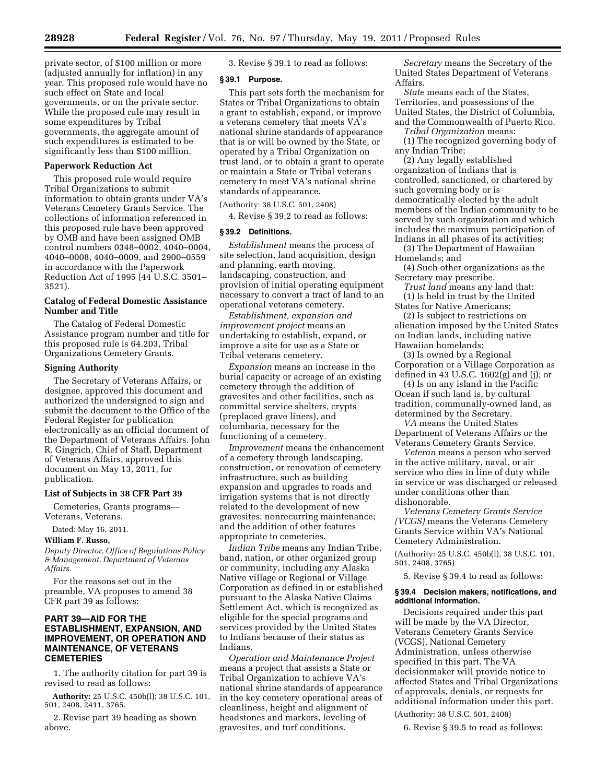private sector, of \$100 million or more (adjusted annually for inflation) in any year. This proposed rule would have no such effect on State and local governments, or on the private sector. While the proposed rule may result in some expenditures by Tribal governments, the aggregate amount of such expenditures is estimated to be significantly less than \$100 million.

### **Paperwork Reduction Act**

This proposed rule would require Tribal Organizations to submit information to obtain grants under VA's Veterans Cemetery Grants Service. The collections of information referenced in this proposed rule have been approved by OMB and have been assigned OMB control numbers 0348–0002, 4040–0004, 4040–0008, 4040–0009, and 2900–0559 in accordance with the Paperwork Reduction Act of 1995 (44 U.S.C. 3501– 3521).

# **Catalog of Federal Domestic Assistance Number and Title**

The Catalog of Federal Domestic Assistance program number and title for this proposed rule is 64.203, Tribal Organizations Cemetery Grants.

### **Signing Authority**

The Secretary of Veterans Affairs, or designee, approved this document and authorized the undersigned to sign and submit the document to the Office of the Federal Register for publication electronically as an official document of the Department of Veterans Affairs. John R. Gingrich, Chief of Staff, Department of Veterans Affairs, approved this document on May 13, 2011, for publication.

# **List of Subjects in 38 CFR Part 39**

Cemeteries, Grants programs— Veterans, Veterans.

Dated: May 16, 2011.

### **William F. Russo,**

*Deputy Director, Office of Regulations Policy & Management, Department of Veterans Affairs.* 

For the reasons set out in the preamble, VA proposes to amend 38 CFR part 39 as follows:

## **PART 39—AID FOR THE ESTABLISHMENT, EXPANSION, AND IMPROVEMENT, OR OPERATION AND MAINTENANCE, OF VETERANS CEMETERIES**

1. The authority citation for part 39 is revised to read as follows:

**Authority:** 25 U.S.C. 450b(l); 38 U.S.C. 101, 501, 2408, 2411, 3765.

2. Revise part 39 heading as shown above.

3. Revise § 39.1 to read as follows:

# **§ 39.1 Purpose.**

This part sets forth the mechanism for States or Tribal Organizations to obtain a grant to establish, expand, or improve a veterans cemetery that meets VA's national shrine standards of appearance that is or will be owned by the State, or operated by a Tribal Organization on trust land, or to obtain a grant to operate or maintain a State or Tribal veterans cemetery to meet VA's national shrine standards of appearance.

(Authority: 38 U.S.C. 501, 2408)

4. Revise § 39.2 to read as follows:

## **§ 39.2 Definitions.**

*Establishment* means the process of site selection, land acquisition, design and planning, earth moving, landscaping, construction, and provision of initial operating equipment necessary to convert a tract of land to an operational veterans cemetery.

*Establishment, expansion and improvement project* means an undertaking to establish, expand, or improve a site for use as a State or Tribal veterans cemetery.

*Expansion* means an increase in the burial capacity or acreage of an existing cemetery through the addition of gravesites and other facilities, such as committal service shelters, crypts (preplaced grave liners), and columbaria, necessary for the functioning of a cemetery.

*Improvement* means the enhancement of a cemetery through landscaping, construction, or renovation of cemetery infrastructure, such as building expansion and upgrades to roads and irrigation systems that is not directly related to the development of new gravesites: nonrecurring maintenance; and the addition of other features appropriate to cemeteries.

*Indian Tribe* means any Indian Tribe, band, nation, or other organized group or community, including any Alaska Native village or Regional or Village Corporation as defined in or established pursuant to the Alaska Native Claims Settlement Act, which is recognized as eligible for the special programs and services provided by the United States to Indians because of their status as Indians.

*Operation and Maintenance Project*  means a project that assists a State or Tribal Organization to achieve VA's national shrine standards of appearance in the key cemetery operational areas of cleanliness, height and alignment of headstones and markers, leveling of gravesites, and turf conditions.

*Secretary* means the Secretary of the United States Department of Veterans Affairs.

*State* means each of the States, Territories, and possessions of the United States, the District of Columbia, and the Commonwealth of Puerto Rico.

*Tribal Organization* means: (1) The recognized governing body of any Indian Tribe;

(2) Any legally established organization of Indians that is controlled, sanctioned, or chartered by such governing body or is democratically elected by the adult members of the Indian community to be served by such organization and which includes the maximum participation of Indians in all phases of its activities;

(3) The Department of Hawaiian Homelands; and

(4) Such other organizations as the Secretary may prescribe.

*Trust land* means any land that: (1) Is held in trust by the United

States for Native Americans; (2) Is subject to restrictions on alienation imposed by the United States on Indian lands, including native Hawaiian homelands;

(3) Is owned by a Regional Corporation or a Village Corporation as defined in 43 U.S.C.  $1602(g)$  and (j); or

(4) Is on any island in the Pacific Ocean if such land is, by cultural tradition, communally-owned land, as determined by the Secretary.

*VA* means the United States Department of Veterans Affairs or the Veterans Cemetery Grants Service.

*Veteran* means a person who served in the active military, naval, or air service who dies in line of duty while in service or was discharged or released under conditions other than dishonorable.

*Veterans Cemetery Grants Service (VCGS)* means the Veterans Cemetery Grants Service within VA's National Cemetery Administration.

(Authority: 25 U.S.C. 450b(l), 38 U.S.C. 101, 501, 2408, 3765)

5. Revise § 39.4 to read as follows:

### **§ 39.4 Decision makers, notifications, and additional information.**

Decisions required under this part will be made by the VA Director, Veterans Cemetery Grants Service (VCGS), National Cemetery Administration, unless otherwise specified in this part. The VA decisionmaker will provide notice to affected States and Tribal Organizations of approvals, denials, or requests for additional information under this part.

(Authority: 38 U.S.C. 501, 2408)

6. Revise § 39.5 to read as follows: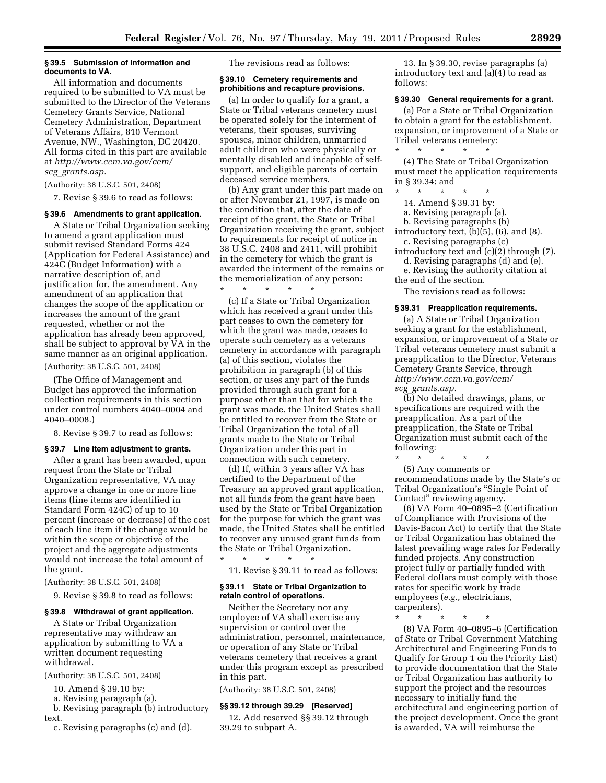## **§ 39.5 Submission of information and documents to VA.**

All information and documents required to be submitted to VA must be submitted to the Director of the Veterans Cemetery Grants Service, National Cemetery Administration, Department of Veterans Affairs, 810 Vermont Avenue, NW., Washington, DC 20420. All forms cited in this part are available at *[http://www.cem.va.gov/cem/](http://www.cem.va.gov/cem/scg_grants.asp) scg*\_*[grants.asp.](http://www.cem.va.gov/cem/scg_grants.asp)* 

(Authority: 38 U.S.C. 501, 2408)

7. Revise § 39.6 to read as follows:

#### **§ 39.6 Amendments to grant application.**

A State or Tribal Organization seeking to amend a grant application must submit revised Standard Forms 424 (Application for Federal Assistance) and 424C (Budget Information) with a narrative description of, and justification for, the amendment. Any amendment of an application that changes the scope of the application or increases the amount of the grant requested, whether or not the application has already been approved, shall be subject to approval by VA in the same manner as an original application.

(Authority: 38 U.S.C. 501, 2408)

(The Office of Management and Budget has approved the information collection requirements in this section under control numbers 4040–0004 and 4040–0008.)

8. Revise § 39.7 to read as follows:

### **§ 39.7 Line item adjustment to grants.**

After a grant has been awarded, upon request from the State or Tribal Organization representative, VA may approve a change in one or more line items (line items are identified in Standard Form 424C) of up to 10 percent (increase or decrease) of the cost of each line item if the change would be within the scope or objective of the project and the aggregate adjustments would not increase the total amount of the grant.

(Authority: 38 U.S.C. 501, 2408)

9. Revise § 39.8 to read as follows:

## **§ 39.8 Withdrawal of grant application.**

A State or Tribal Organization representative may withdraw an application by submitting to VA a written document requesting withdrawal.

(Authority: 38 U.S.C. 501, 2408)

10. Amend § 39.10 by:

a. Revising paragraph (a).

b. Revising paragraph (b) introductory text.

c. Revising paragraphs (c) and (d).

The revisions read as follows:

## **§ 39.10 Cemetery requirements and prohibitions and recapture provisions.**

(a) In order to qualify for a grant, a State or Tribal veterans cemetery must be operated solely for the interment of veterans, their spouses, surviving spouses, minor children, unmarried adult children who were physically or mentally disabled and incapable of selfsupport, and eligible parents of certain deceased service members.

(b) Any grant under this part made on or after November 21, 1997, is made on the condition that, after the date of receipt of the grant, the State or Tribal Organization receiving the grant, subject to requirements for receipt of notice in 38 U.S.C. 2408 and 2411, will prohibit in the cemetery for which the grant is awarded the interment of the remains or the memorialization of any person:

\* \* \* \* \* (c) If a State or Tribal Organization which has received a grant under this part ceases to own the cemetery for which the grant was made, ceases to operate such cemetery as a veterans cemetery in accordance with paragraph (a) of this section, violates the prohibition in paragraph (b) of this section, or uses any part of the funds provided through such grant for a purpose other than that for which the grant was made, the United States shall be entitled to recover from the State or Tribal Organization the total of all grants made to the State or Tribal Organization under this part in connection with such cemetery.

(d) If, within 3 years after VA has certified to the Department of the Treasury an approved grant application, not all funds from the grant have been used by the State or Tribal Organization for the purpose for which the grant was made, the United States shall be entitled to recover any unused grant funds from the State or Tribal Organization.

11. Revise § 39.11 to read as follows:

### **§ 39.11 State or Tribal Organization to retain control of operations.**

\* \* \* \* \*

Neither the Secretary nor any employee of VA shall exercise any supervision or control over the administration, personnel, maintenance, or operation of any State or Tribal veterans cemetery that receives a grant under this program except as prescribed in this part.

(Authority: 38 U.S.C. 501, 2408)

### **§§ 39.12 through 39.29 [Reserved]**

12. Add reserved §§ 39.12 through 39.29 to subpart A.

13. In § 39.30, revise paragraphs (a) introductory text and (a)(4) to read as follows:

### **§ 39.30 General requirements for a grant.**

(a) For a State or Tribal Organization to obtain a grant for the establishment, expansion, or improvement of a State or Tribal veterans cemetery: \* \* \* \* \*

(4) The State or Tribal Organization must meet the application requirements in § 39.34; and

\* \* \* \* \*

14. Amend § 39.31 by:

a. Revising paragraph (a).

b. Revising paragraphs (b)

introductory text,  $(b)(5)$ ,  $(6)$ , and  $(8)$ . c. Revising paragraphs (c)

introductory text and (c)(2) through (7). d. Revising paragraphs (d) and (e).

e. Revising the authority citation at the end of the section.

The revisions read as follows:

#### **§ 39.31 Preapplication requirements.**

(a) A State or Tribal Organization seeking a grant for the establishment, expansion, or improvement of a State or Tribal veterans cemetery must submit a preapplication to the Director, Veterans Cemetery Grants Service, through *[http://www.cem.va.gov/cem/](http://www.cem.va.gov/cem/scg_grants.asp) scg*\_*[grants.asp.](http://www.cem.va.gov/cem/scg_grants.asp)* 

(b) No detailed drawings, plans, or specifications are required with the preapplication. As a part of the preapplication, the State or Tribal Organization must submit each of the following:

\* \* \* \* \*

(5) Any comments or recommendations made by the State's or Tribal Organization's ''Single Point of Contact'' reviewing agency.

(6) VA Form 40–0895–2 (Certification of Compliance with Provisions of the Davis-Bacon Act) to certify that the State or Tribal Organization has obtained the latest prevailing wage rates for Federally funded projects. Any construction project fully or partially funded with Federal dollars must comply with those rates for specific work by trade employees (*e.g.,* electricians, carpenters).

\* \* \* \* \*

(8) VA Form 40–0895–6 (Certification of State or Tribal Government Matching Architectural and Engineering Funds to Qualify for Group 1 on the Priority List) to provide documentation that the State or Tribal Organization has authority to support the project and the resources necessary to initially fund the architectural and engineering portion of the project development. Once the grant is awarded, VA will reimburse the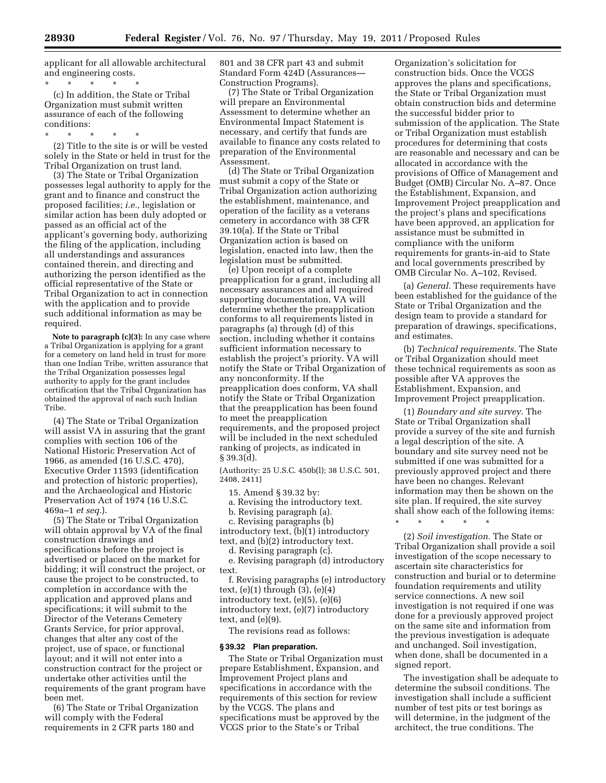applicant for all allowable architectural and engineering costs.

\* \* \* \* \* (c) In addition, the State or Tribal Organization must submit written assurance of each of the following conditions:

\* \* \* \* \*

(2) Title to the site is or will be vested solely in the State or held in trust for the Tribal Organization on trust land.

(3) The State or Tribal Organization possesses legal authority to apply for the grant and to finance and construct the proposed facilities; *i.e.,* legislation or similar action has been duly adopted or passed as an official act of the applicant's governing body, authorizing the filing of the application, including all understandings and assurances contained therein, and directing and authorizing the person identified as the official representative of the State or Tribal Organization to act in connection with the application and to provide such additional information as may be required.

**Note to paragraph (c)(3):** In any case where a Tribal Organization is applying for a grant for a cemetery on land held in trust for more than one Indian Tribe, written assurance that the Tribal Organization possesses legal authority to apply for the grant includes certification that the Tribal Organization has obtained the approval of each such Indian Tribe.

(4) The State or Tribal Organization will assist VA in assuring that the grant complies with section 106 of the National Historic Preservation Act of 1966, as amended (16 U.S.C. 470), Executive Order 11593 (identification and protection of historic properties), and the Archaeological and Historic Preservation Act of 1974 (16 U.S.C. 469a–1 *et seq.*).

(5) The State or Tribal Organization will obtain approval by VA of the final construction drawings and specifications before the project is advertised or placed on the market for bidding; it will construct the project, or cause the project to be constructed, to completion in accordance with the application and approved plans and specifications; it will submit to the Director of the Veterans Cemetery Grants Service, for prior approval, changes that alter any cost of the project, use of space, or functional layout; and it will not enter into a construction contract for the project or undertake other activities until the requirements of the grant program have been met.

(6) The State or Tribal Organization will comply with the Federal requirements in 2 CFR parts 180 and

801 and 38 CFR part 43 and submit Standard Form 424D (Assurances— Construction Programs).

(7) The State or Tribal Organization will prepare an Environmental Assessment to determine whether an Environmental Impact Statement is necessary, and certify that funds are available to finance any costs related to preparation of the Environmental Assessment.

(d) The State or Tribal Organization must submit a copy of the State or Tribal Organization action authorizing the establishment, maintenance, and operation of the facility as a veterans cemetery in accordance with 38 CFR 39.10(a). If the State or Tribal Organization action is based on legislation, enacted into law, then the legislation must be submitted.

(e) Upon receipt of a complete preapplication for a grant, including all necessary assurances and all required supporting documentation, VA will determine whether the preapplication conforms to all requirements listed in paragraphs (a) through (d) of this section, including whether it contains sufficient information necessary to establish the project's priority. VA will notify the State or Tribal Organization of any nonconformity. If the preapplication does conform, VA shall notify the State or Tribal Organization that the preapplication has been found to meet the preapplication requirements, and the proposed project will be included in the next scheduled ranking of projects, as indicated in § 39.3(d).

(Authority: 25 U.S.C. 450b(l); 38 U.S.C. 501, 2408, 2411)

15. Amend § 39.32 by:

a. Revising the introductory text.

b. Revising paragraph (a).

c. Revising paragraphs (b)

introductory text, (b)(1) introductory text, and (b)(2) introductory text. d. Revising paragraph (c).

e. Revising paragraph (d) introductory text.

f. Revising paragraphs (e) introductory text,  $(e)(1)$  through  $(3)$ ,  $(e)(4)$ introductory text, (e)(5), (e)(6) introductory text, (e)(7) introductory text, and (e)(9).

The revisions read as follows:

## **§ 39.32 Plan preparation.**

The State or Tribal Organization must prepare Establishment, Expansion, and Improvement Project plans and specifications in accordance with the requirements of this section for review by the VCGS. The plans and specifications must be approved by the VCGS prior to the State's or Tribal

Organization's solicitation for construction bids. Once the VCGS approves the plans and specifications, the State or Tribal Organization must obtain construction bids and determine the successful bidder prior to submission of the application. The State or Tribal Organization must establish procedures for determining that costs are reasonable and necessary and can be allocated in accordance with the provisions of Office of Management and Budget (OMB) Circular No. A–87. Once the Establishment, Expansion, and Improvement Project preapplication and the project's plans and specifications have been approved, an application for assistance must be submitted in compliance with the uniform requirements for grants-in-aid to State and local governments prescribed by OMB Circular No. A–102, Revised.

(a) *General.* These requirements have been established for the guidance of the State or Tribal Organization and the design team to provide a standard for preparation of drawings, specifications, and estimates.

(b) *Technical requirements.* The State or Tribal Organization should meet these technical requirements as soon as possible after VA approves the Establishment, Expansion, and Improvement Project preapplication.

(1) *Boundary and site survey.* The State or Tribal Organization shall provide a survey of the site and furnish a legal description of the site. A boundary and site survey need not be submitted if one was submitted for a previously approved project and there have been no changes. Relevant information may then be shown on the site plan. If required, the site survey shall show each of the following items: \* \* \* \* \*

(2) *Soil investigation.* The State or Tribal Organization shall provide a soil investigation of the scope necessary to ascertain site characteristics for construction and burial or to determine foundation requirements and utility service connections. A new soil investigation is not required if one was done for a previously approved project on the same site and information from the previous investigation is adequate and unchanged. Soil investigation, when done, shall be documented in a signed report.

The investigation shall be adequate to determine the subsoil conditions. The investigation shall include a sufficient number of test pits or test borings as will determine, in the judgment of the architect, the true conditions. The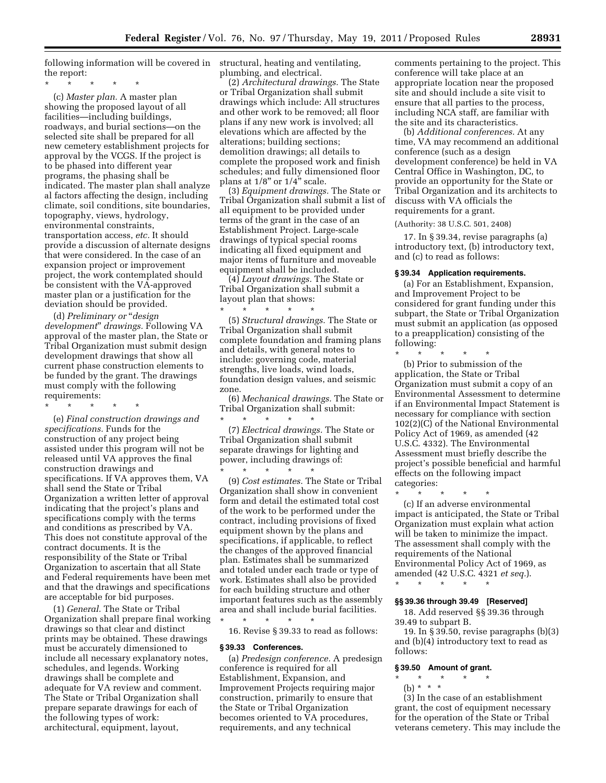following information will be covered in structural, heating and ventilating, the report:

\* \* \* \* \*

(c) *Master plan.* A master plan showing the proposed layout of all facilities—including buildings, roadways, and burial sections—on the selected site shall be prepared for all new cemetery establishment projects for approval by the VCGS. If the project is to be phased into different year programs, the phasing shall be indicated. The master plan shall analyze al factors affecting the design, including climate, soil conditions, site boundaries, topography, views, hydrology, environmental constraints, transportation access, *etc.* It should provide a discussion of alternate designs that were considered. In the case of an expansion project or improvement project, the work contemplated should be consistent with the VA-approved master plan or a justification for the deviation should be provided.

(d) *Preliminary or* ''*design development*'' *drawings.* Following VA approval of the master plan, the State or Tribal Organization must submit design development drawings that show all current phase construction elements to be funded by the grant. The drawings must comply with the following requirements:

\* \* \* \* \*

(e) *Final construction drawings and specifications.* Funds for the construction of any project being assisted under this program will not be released until VA approves the final construction drawings and specifications. If VA approves them, VA shall send the State or Tribal Organization a written letter of approval indicating that the project's plans and specifications comply with the terms and conditions as prescribed by VA. This does not constitute approval of the contract documents. It is the responsibility of the State or Tribal Organization to ascertain that all State and Federal requirements have been met and that the drawings and specifications are acceptable for bid purposes.

(1) *General.* The State or Tribal Organization shall prepare final working drawings so that clear and distinct prints may be obtained. These drawings must be accurately dimensioned to include all necessary explanatory notes, schedules, and legends. Working drawings shall be complete and adequate for VA review and comment. The State or Tribal Organization shall prepare separate drawings for each of the following types of work: architectural, equipment, layout,

plumbing, and electrical.

(2) *Architectural drawings.* The State or Tribal Organization shall submit drawings which include: All structures and other work to be removed; all floor plans if any new work is involved; all elevations which are affected by the alterations; building sections; demolition drawings; all details to complete the proposed work and finish schedules; and fully dimensioned floor plans at 1/8" or 1/4" scale.

(3) *Equipment drawings.* The State or Tribal Organization shall submit a list of all equipment to be provided under terms of the grant in the case of an Establishment Project. Large-scale drawings of typical special rooms indicating all fixed equipment and major items of furniture and moveable equipment shall be included.

(4) *Layout drawings.* The State or Tribal Organization shall submit a layout plan that shows:

\* \* \* \* \* (5) *Structural drawings.* The State or Tribal Organization shall submit complete foundation and framing plans and details, with general notes to include: governing code, material strengths, live loads, wind loads, foundation design values, and seismic zone.

(6) *Mechanical drawings.* The State or Tribal Organization shall submit:

\* \* \* \* \* (7) *Electrical drawings.* The State or Tribal Organization shall submit separate drawings for lighting and power, including drawings of:

\* \* \* \* \* (9) *Cost estimates.* The State or Tribal Organization shall show in convenient form and detail the estimated total cost of the work to be performed under the contract, including provisions of fixed equipment shown by the plans and specifications, if applicable, to reflect the changes of the approved financial plan. Estimates shall be summarized and totaled under each trade or type of work. Estimates shall also be provided for each building structure and other important features such as the assembly area and shall include burial facilities. \* \* \* \* \*

16. Revise § 39.33 to read as follows:

#### **§ 39.33 Conferences.**

(a) *Predesign conference.* A predesign conference is required for all Establishment, Expansion, and Improvement Projects requiring major construction, primarily to ensure that the State or Tribal Organization becomes oriented to VA procedures, requirements, and any technical

comments pertaining to the project. This conference will take place at an appropriate location near the proposed site and should include a site visit to ensure that all parties to the process, including NCA staff, are familiar with the site and its characteristics.

(b) *Additional conferences.* At any time, VA may recommend an additional conference (such as a design development conference) be held in VA Central Office in Washington, DC, to provide an opportunity for the State or Tribal Organization and its architects to discuss with VA officials the requirements for a grant.

(Authority: 38 U.S.C. 501, 2408)

17. In § 39.34, revise paragraphs (a) introductory text, (b) introductory text, and (c) to read as follows:

#### **§ 39.34 Application requirements.**

(a) For an Establishment, Expansion, and Improvement Project to be considered for grant funding under this subpart, the State or Tribal Organization must submit an application (as opposed to a preapplication) consisting of the following:

\* \* \* \* \* (b) Prior to submission of the application, the State or Tribal Organization must submit a copy of an Environmental Assessment to determine if an Environmental Impact Statement is necessary for compliance with section 102(2)(C) of the National Environmental Policy Act of 1969, as amended (42 U.S.C. 4332). The Environmental Assessment must briefly describe the project's possible beneficial and harmful effects on the following impact categories:

\* \* \* \* \*

(c) If an adverse environmental impact is anticipated, the State or Tribal Organization must explain what action will be taken to minimize the impact. The assessment shall comply with the requirements of the National Environmental Policy Act of 1969, as amended (42 U.S.C. 4321 *et seq.*).

\* \* \* \* \*

## **§§ 39.36 through 39.49 [Reserved]**

18. Add reserved §§ 39.36 through 39.49 to subpart B.

19. In § 39.50, revise paragraphs (b)(3) and (b)(4) introductory text to read as follows:

## **§ 39.50 Amount of grant.**

\* \* \* \* \* (b) \* \* \*

(3) In the case of an establishment grant, the cost of equipment necessary for the operation of the State or Tribal veterans cemetery. This may include the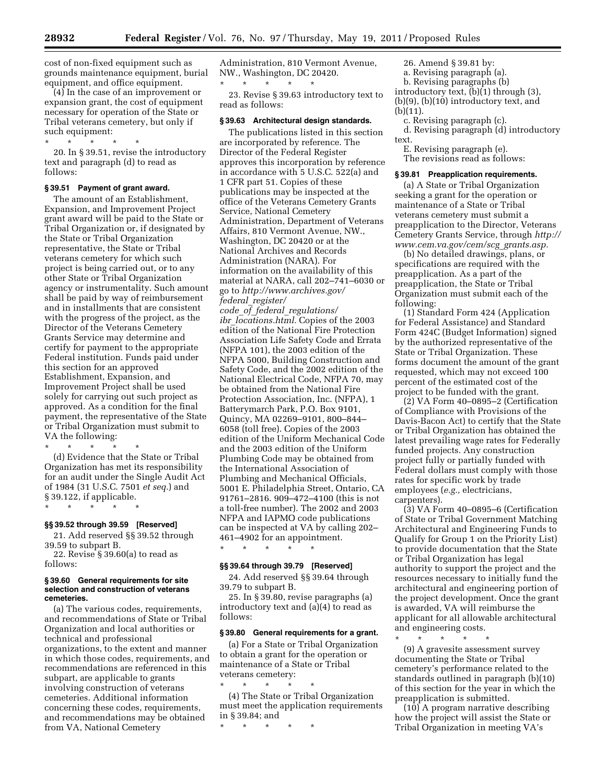cost of non-fixed equipment such as grounds maintenance equipment, burial equipment, and office equipment.

(4) In the case of an improvement or expansion grant, the cost of equipment necessary for operation of the State or Tribal veterans cemetery, but only if such equipment:

\* \* \* \* \*

20. In § 39.51, revise the introductory text and paragraph (d) to read as follows:

## **§ 39.51 Payment of grant award.**

The amount of an Establishment, Expansion, and Improvement Project grant award will be paid to the State or Tribal Organization or, if designated by the State or Tribal Organization representative, the State or Tribal veterans cemetery for which such project is being carried out, or to any other State or Tribal Organization agency or instrumentality. Such amount shall be paid by way of reimbursement and in installments that are consistent with the progress of the project, as the Director of the Veterans Cemetery Grants Service may determine and certify for payment to the appropriate Federal institution. Funds paid under this section for an approved Establishment, Expansion, and Improvement Project shall be used solely for carrying out such project as approved. As a condition for the final payment, the representative of the State or Tribal Organization must submit to VA the following:

\* \* \* \* \* (d) Evidence that the State or Tribal Organization has met its responsibility for an audit under the Single Audit Act of 1984 (31 U.S.C. 7501 *et seq.*) and § 39.122, if applicable.

\* \* \* \* \*

# **§§ 39.52 through 39.59 [Reserved]**

21. Add reserved §§ 39.52 through 39.59 to subpart B.

22. Revise § 39.60(a) to read as follows:

### **§ 39.60 General requirements for site selection and construction of veterans cemeteries.**

(a) The various codes, requirements, and recommendations of State or Tribal Organization and local authorities or technical and professional organizations, to the extent and manner in which those codes, requirements, and recommendations are referenced in this subpart, are applicable to grants involving construction of veterans cemeteries. Additional information concerning these codes, requirements, and recommendations may be obtained from VA, National Cemetery

Administration, 810 Vermont Avenue, NW., Washington, DC 20420. \* \* \* \* \*

23. Revise § 39.63 introductory text to read as follows:

## **§ 39.63 Architectural design standards.**

The publications listed in this section are incorporated by reference. The Director of the Federal Register approves this incorporation by reference in accordance with 5 U.S.C. 522(a) and 1 CFR part 51. Copies of these publications may be inspected at the office of the Veterans Cemetery Grants Service, National Cemetery Administration, Department of Veterans Affairs, 810 Vermont Avenue, NW., Washington, DC 20420 or at the National Archives and Records Administration (NARA). For information on the availability of this material at NARA, call 202–741–6030 or go to *[http://www.archives.gov/](http://www.archives.gov/federal_register/code_of_federal_regulations/ibr_locations.html)  federal*\_*[register/](http://www.archives.gov/federal_register/code_of_federal_regulations/ibr_locations.html) code*\_*of*\_*federal*\_*[regulations/](http://www.archives.gov/federal_register/code_of_federal_regulations/ibr_locations.html)  ibr*\_*[locations.html.](http://www.archives.gov/federal_register/code_of_federal_regulations/ibr_locations.html)* Copies of the 2003 edition of the National Fire Protection Association Life Safety Code and Errata (NFPA 101), the 2003 edition of the NFPA 5000, Building Construction and Safety Code, and the 2002 edition of the National Electrical Code, NFPA 70, may be obtained from the National Fire Protection Association, Inc. (NFPA), 1 Batterymarch Park, P.O. Box 9101, Quincy, MA 02269–9101, 800–844– 6058 (toll free). Copies of the 2003 edition of the Uniform Mechanical Code and the 2003 edition of the Uniform Plumbing Code may be obtained from the International Association of Plumbing and Mechanical Officials, 5001 E. Philadelphia Street, Ontario, CA 91761–2816. 909–472–4100 (this is not a toll-free number). The 2002 and 2003 NFPA and IAPMO code publications can be inspected at VA by calling 202– 461–4902 for an appointment.

## **§§ 39.64 through 39.79 [Reserved]**

\* \* \* \* \*

24. Add reserved §§ 39.64 through 39.79 to subpart B.

25. In § 39.80, revise paragraphs (a) introductory text and (a)(4) to read as follows:

#### **§ 39.80 General requirements for a grant.**

(a) For a State or Tribal Organization to obtain a grant for the operation or maintenance of a State or Tribal veterans cemetery: \* \* \* \* \*

(4) The State or Tribal Organization must meet the application requirements in § 39.84; and

\* \* \* \* \*

26. Amend § 39.81 by: a. Revising paragraph (a).

b. Revising paragraphs (b)

introductory text, (b)(1) through (3), (b)(9), (b)(10) introductory text, and (b)(11).

c. Revising paragraph (c). d. Revising paragraph (d) introductory text.

E. Revising paragraph (e).

The revisions read as follows:

### **§ 39.81 Preapplication requirements.**

(a) A State or Tribal Organization seeking a grant for the operation or maintenance of a State or Tribal veterans cemetery must submit a preapplication to the Director, Veterans Cemetery Grants Service, through *[http://](http://www.cem.va.gov/cem/scg_grants.asp)  [www.cem.va.gov/cem/scg](http://www.cem.va.gov/cem/scg_grants.asp)*\_*grants.asp.* 

(b) No detailed drawings, plans, or specifications are required with the preapplication. As a part of the preapplication, the State or Tribal Organization must submit each of the following:

(1) Standard Form 424 (Application for Federal Assistance) and Standard Form 424C (Budget Information) signed by the authorized representative of the State or Tribal Organization. These forms document the amount of the grant requested, which may not exceed 100 percent of the estimated cost of the project to be funded with the grant.

(2) VA Form 40–0895–2 (Certification of Compliance with Provisions of the Davis-Bacon Act) to certify that the State or Tribal Organization has obtained the latest prevailing wage rates for Federally funded projects. Any construction project fully or partially funded with Federal dollars must comply with those rates for specific work by trade employees (*e.g.,* electricians, carpenters).

(3) VA Form 40–0895–6 (Certification of State or Tribal Government Matching Architectural and Engineering Funds to Qualify for Group 1 on the Priority List) to provide documentation that the State or Tribal Organization has legal authority to support the project and the resources necessary to initially fund the architectural and engineering portion of the project development. Once the grant is awarded, VA will reimburse the applicant for all allowable architectural and engineering costs.

\* \* \* \* \* (9) A gravesite assessment survey documenting the State or Tribal cemetery's performance related to the standards outlined in paragraph (b)(10) of this section for the year in which the preapplication is submitted.

(10) A program narrative describing how the project will assist the State or Tribal Organization in meeting VA's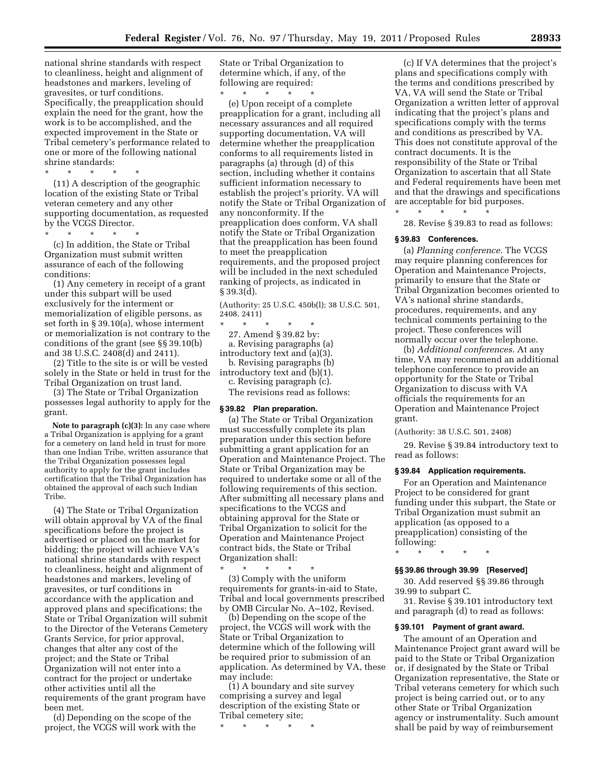national shrine standards with respect to cleanliness, height and alignment of headstones and markers, leveling of gravesites, or turf conditions. Specifically, the preapplication should explain the need for the grant, how the work is to be accomplished, and the expected improvement in the State or Tribal cemetery's performance related to one or more of the following national shrine standards:

\* \* \* \* \* (11) A description of the geographic location of the existing State or Tribal veteran cemetery and any other supporting documentation, as requested by the VCGS Director.

\* \* \* \* \* (c) In addition, the State or Tribal Organization must submit written assurance of each of the following conditions:

(1) Any cemetery in receipt of a grant under this subpart will be used exclusively for the interment or memorialization of eligible persons, as set forth in § 39.10(a), whose interment or memorialization is not contrary to the conditions of the grant (see §§ 39.10(b) and 38 U.S.C. 2408(d) and 2411).

(2) Title to the site is or will be vested solely in the State or held in trust for the Tribal Organization on trust land.

(3) The State or Tribal Organization possesses legal authority to apply for the grant.

**Note to paragraph (c)(3):** In any case where a Tribal Organization is applying for a grant for a cemetery on land held in trust for more than one Indian Tribe, written assurance that the Tribal Organization possesses legal authority to apply for the grant includes certification that the Tribal Organization has obtained the approval of each such Indian Tribe.

(4) The State or Tribal Organization will obtain approval by VA of the final specifications before the project is advertised or placed on the market for bidding; the project will achieve VA's national shrine standards with respect to cleanliness, height and alignment of headstones and markers, leveling of gravesites, or turf conditions in accordance with the application and approved plans and specifications; the State or Tribal Organization will submit to the Director of the Veterans Cemetery Grants Service, for prior approval, changes that alter any cost of the project; and the State or Tribal Organization will not enter into a contract for the project or undertake other activities until all the requirements of the grant program have been met.

(d) Depending on the scope of the project, the VCGS will work with the State or Tribal Organization to determine which, if any, of the following are required:

\* \* \* \* \*

(e) Upon receipt of a complete preapplication for a grant, including all necessary assurances and all required supporting documentation, VA will determine whether the preapplication conforms to all requirements listed in paragraphs (a) through (d) of this section, including whether it contains sufficient information necessary to establish the project's priority. VA will notify the State or Tribal Organization of any nonconformity. If the preapplication does conform, VA shall notify the State or Tribal Organization that the preapplication has been found to meet the preapplication requirements, and the proposed project will be included in the next scheduled ranking of projects, as indicated in § 39.3(d).

(Authority: 25 U.S.C. 450b(l); 38 U.S.C. 501, 2408, 2411)

\* \* \* \* \* 27. Amend § 39.82 by: a. Revising paragraphs (a) introductory text and (a)(3). b. Revising paragraphs (b) introductory text and (b)(1).

c. Revising paragraph (c).

The revisions read as follows:

## **§ 39.82 Plan preparation.**

(a) The State or Tribal Organization must successfully complete its plan preparation under this section before submitting a grant application for an Operation and Maintenance Project. The State or Tribal Organization may be required to undertake some or all of the following requirements of this section. After submitting all necessary plans and specifications to the VCGS and obtaining approval for the State or Tribal Organization to solicit for the Operation and Maintenance Project contract bids, the State or Tribal Organization shall:

 $\star$   $\star$ (3) Comply with the uniform requirements for grants-in-aid to State, Tribal and local governments prescribed by OMB Circular No. A–102, Revised.

(b) Depending on the scope of the project, the VCGS will work with the State or Tribal Organization to determine which of the following will be required prior to submission of an application. As determined by VA, these may include:

(1) A boundary and site survey comprising a survey and legal description of the existing State or Tribal cemetery site;

\* \* \* \* \*

(c) If VA determines that the project's plans and specifications comply with the terms and conditions prescribed by VA, VA will send the State or Tribal Organization a written letter of approval indicating that the project's plans and specifications comply with the terms and conditions as prescribed by VA. This does not constitute approval of the contract documents. It is the responsibility of the State or Tribal Organization to ascertain that all State and Federal requirements have been met and that the drawings and specifications are acceptable for bid purposes.  $\star$   $\star$   $\star$   $\star$ 

28. Revise § 39.83 to read as follows:

#### **§ 39.83 Conferences.**

(a) *Planning conference.* The VCGS may require planning conferences for Operation and Maintenance Projects, primarily to ensure that the State or Tribal Organization becomes oriented to VA's national shrine standards, procedures, requirements, and any technical comments pertaining to the project. These conferences will normally occur over the telephone.

(b) *Additional conferences.* At any time, VA may recommend an additional telephone conference to provide an opportunity for the State or Tribal Organization to discuss with VA officials the requirements for an Operation and Maintenance Project grant.

(Authority: 38 U.S.C. 501, 2408)

29. Revise § 39.84 introductory text to read as follows:

#### **§ 39.84 Application requirements.**

For an Operation and Maintenance Project to be considered for grant funding under this subpart, the State or Tribal Organization must submit an application (as opposed to a preapplication) consisting of the following:

\* \* \* \* \*

## **§§ 39.86 through 39.99 [Reserved]**

30. Add reserved §§ 39.86 through 39.99 to subpart C.

31. Revise § 39.101 introductory text and paragraph (d) to read as follows:

### **§ 39.101 Payment of grant award.**

The amount of an Operation and Maintenance Project grant award will be paid to the State or Tribal Organization or, if designated by the State or Tribal Organization representative, the State or Tribal veterans cemetery for which such project is being carried out, or to any other State or Tribal Organization agency or instrumentality. Such amount shall be paid by way of reimbursement